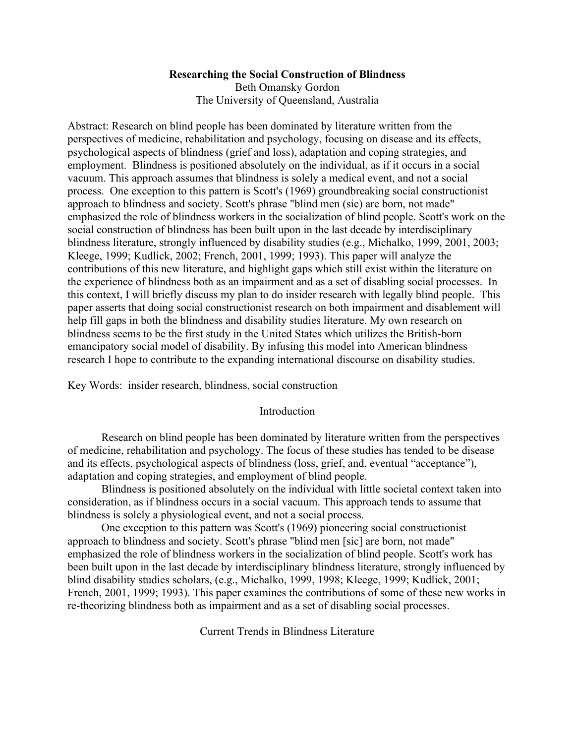## **Researching the Social Construction of Blindness**

Beth Omansky Gordon The University of Queensland, Australia

Abstract: Research on blind people has been dominated by literature written from the perspectives of medicine, rehabilitation and psychology, focusing on disease and its effects, psychological aspects of blindness (grief and loss), adaptation and coping strategies, and employment. Blindness is positioned absolutely on the individual, as if it occurs in a social vacuum. This approach assumes that blindness is solely a medical event, and not a social process. One exception to this pattern is Scott's (1969) groundbreaking social constructionist approach to blindness and society. Scott's phrase "blind men (sic) are born, not made" emphasized the role of blindness workers in the socialization of blind people. Scott's work on the social construction of blindness has been built upon in the last decade by interdisciplinary blindness literature, strongly influenced by disability studies (e.g., Michalko, 1999, 2001, 2003; Kleege, 1999; Kudlick, 2002; French, 2001, 1999; 1993). This paper will analyze the contributions of this new literature, and highlight gaps which still exist within the literature on the experience of blindness both as an impairment and as a set of disabling social processes. In this context, I will briefly discuss my plan to do insider research with legally blind people. This paper asserts that doing social constructionist research on both impairment and disablement will help fill gaps in both the blindness and disability studies literature. My own research on blindness seems to be the first study in the United States which utilizes the British-born emancipatory social model of disability. By infusing this model into American blindness research I hope to contribute to the expanding international discourse on disability studies.

Key Words: insider research, blindness, social construction

## Introduction

Research on blind people has been dominated by literature written from the perspectives of medicine, rehabilitation and psychology. The focus of these studies has tended to be disease and its effects, psychological aspects of blindness (loss, grief, and, eventual "acceptance"), adaptation and coping strategies, and employment of blind people.

Blindness is positioned absolutely on the individual with little societal context taken into consideration, as if blindness occurs in a social vacuum. This approach tends to assume that blindness is solely a physiological event, and not a social process.

One exception to this pattern was Scott's (1969) pioneering social constructionist approach to blindness and society. Scott's phrase "blind men [sic] are born, not made" emphasized the role of blindness workers in the socialization of blind people. Scott's work has been built upon in the last decade by interdisciplinary blindness literature, strongly influenced by blind disability studies scholars, (e.g., Michalko, 1999, 1998; Kleege, 1999; Kudlick, 2001; French, 2001, 1999; 1993). This paper examines the contributions of some of these new works in re-theorizing blindness both as impairment and as a set of disabling social processes.

Current Trends in Blindness Literature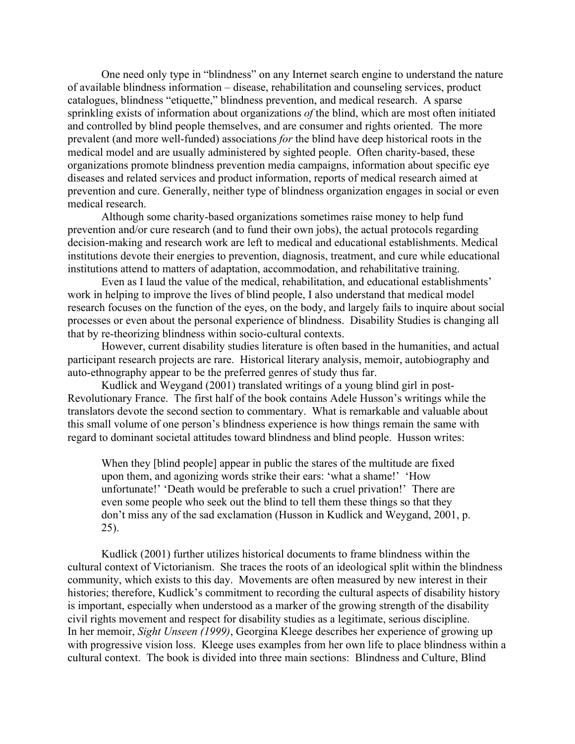One need only type in "blindness" on any Internet search engine to understand the nature of available blindness information – disease, rehabilitation and counseling services, product catalogues, blindness "etiquette," blindness prevention, and medical research. A sparse sprinkling exists of information about organizations *of* the blind, which are most often initiated and controlled by blind people themselves, and are consumer and rights oriented. The more prevalent (and more well-funded) associations *for* the blind have deep historical roots in the medical model and are usually administered by sighted people. Often charity-based, these organizations promote blindness prevention media campaigns, information about specific eye diseases and related services and product information, reports of medical research aimed at prevention and cure. Generally, neither type of blindness organization engages in social or even medical research.

Although some charity-based organizations sometimes raise money to help fund prevention and/or cure research (and to fund their own jobs), the actual protocols regarding decision-making and research work are left to medical and educational establishments. Medical institutions devote their energies to prevention, diagnosis, treatment, and cure while educational institutions attend to matters of adaptation, accommodation, and rehabilitative training.

Even as I laud the value of the medical, rehabilitation, and educational establishments' work in helping to improve the lives of blind people, I also understand that medical model research focuses on the function of the eyes, on the body, and largely fails to inquire about social processes or even about the personal experience of blindness. Disability Studies is changing all that by re-theorizing blindness within socio-cultural contexts.

However, current disability studies literature is often based in the humanities, and actual participant research projects are rare. Historical literary analysis, memoir, autobiography and auto-ethnography appear to be the preferred genres of study thus far.

Kudlick and Weygand (2001) translated writings of a young blind girl in post-Revolutionary France. The first half of the book contains Adele Husson's writings while the translators devote the second section to commentary. What is remarkable and valuable about this small volume of one person's blindness experience is how things remain the same with regard to dominant societal attitudes toward blindness and blind people. Husson writes:

When they [blind people] appear in public the stares of the multitude are fixed upon them, and agonizing words strike their ears: 'what a shame!' 'How unfortunate!' 'Death would be preferable to such a cruel privation!' There are even some people who seek out the blind to tell them these things so that they don't miss any of the sad exclamation (Husson in Kudlick and Weygand, 2001, p. 25).

Kudlick (2001) further utilizes historical documents to frame blindness within the cultural context of Victorianism. She traces the roots of an ideological split within the blindness community, which exists to this day. Movements are often measured by new interest in their histories; therefore, Kudlick's commitment to recording the cultural aspects of disability history is important, especially when understood as a marker of the growing strength of the disability civil rights movement and respect for disability studies as a legitimate, serious discipline. In her memoir, *Sight Unseen (1999)*, Georgina Kleege describes her experience of growing up with progressive vision loss. Kleege uses examples from her own life to place blindness within a cultural context. The book is divided into three main sections: Blindness and Culture, Blind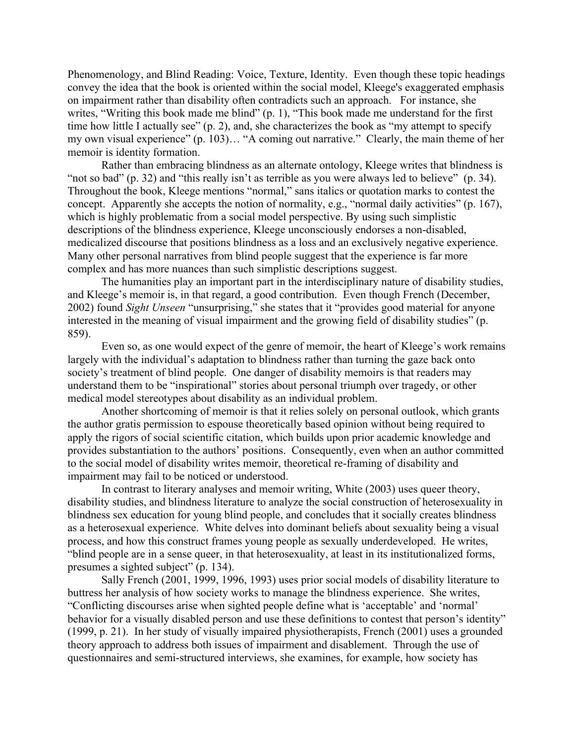Phenomenology, and Blind Reading: Voice, Texture, Identity. Even though these topic headings convey the idea that the book is oriented within the social model, Kleege's exaggerated emphasis on impairment rather than disability often contradicts such an approach. For instance, she writes, "Writing this book made me blind" (p. 1), "This book made me understand for the first time how little I actually see" (p. 2), and, she characterizes the book as "my attempt to specify my own visual experience" (p. 103)… "A coming out narrative." Clearly, the main theme of her memoir is identity formation.

Rather than embracing blindness as an alternate ontology, Kleege writes that blindness is "not so bad" (p. 32) and "this really isn't as terrible as you were always led to believe" (p. 34). Throughout the book, Kleege mentions "normal," sans italics or quotation marks to contest the concept. Apparently she accepts the notion of normality, e.g., "normal daily activities" (p. 167), which is highly problematic from a social model perspective. By using such simplistic descriptions of the blindness experience, Kleege unconsciously endorses a non-disabled, medicalized discourse that positions blindness as a loss and an exclusively negative experience. Many other personal narratives from blind people suggest that the experience is far more complex and has more nuances than such simplistic descriptions suggest.

The humanities play an important part in the interdisciplinary nature of disability studies, and Kleege's memoir is, in that regard, a good contribution. Even though French (December, 2002) found *Sight Unseen* "unsurprising," she states that it "provides good material for anyone interested in the meaning of visual impairment and the growing field of disability studies" (p. 859).

Even so, as one would expect of the genre of memoir, the heart of Kleege's work remains largely with the individual's adaptation to blindness rather than turning the gaze back onto society's treatment of blind people. One danger of disability memoirs is that readers may understand them to be "inspirational" stories about personal triumph over tragedy, or other medical model stereotypes about disability as an individual problem.

Another shortcoming of memoir is that it relies solely on personal outlook, which grants the author gratis permission to espouse theoretically based opinion without being required to apply the rigors of social scientific citation, which builds upon prior academic knowledge and provides substantiation to the authors' positions. Consequently, even when an author committed to the social model of disability writes memoir, theoretical re-framing of disability and impairment may fail to be noticed or understood.

In contrast to literary analyses and memoir writing, White (2003) uses queer theory, disability studies, and blindness literature to analyze the social construction of heterosexuality in blindness sex education for young blind people, and concludes that it socially creates blindness as a heterosexual experience. White delves into dominant beliefs about sexuality being a visual process, and how this construct frames young people as sexually underdeveloped. He writes, "blind people are in a sense queer, in that heterosexuality, at least in its institutionalized forms, presumes a sighted subject" (p. 134).

Sally French (2001, 1999, 1996, 1993) uses prior social models of disability literature to buttress her analysis of how society works to manage the blindness experience. She writes, "Conflicting discourses arise when sighted people define what is 'acceptable' and 'normal' behavior for a visually disabled person and use these definitions to contest that person's identity" (1999, p. 21). In her study of visually impaired physiotherapists, French (2001) uses a grounded theory approach to address both issues of impairment and disablement. Through the use of questionnaires and semi-structured interviews, she examines, for example, how society has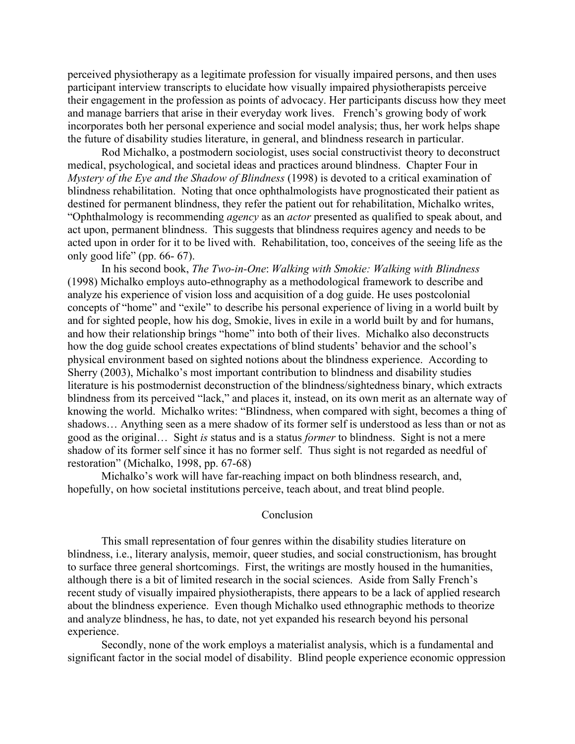perceived physiotherapy as a legitimate profession for visually impaired persons, and then uses participant interview transcripts to elucidate how visually impaired physiotherapists perceive their engagement in the profession as points of advocacy. Her participants discuss how they meet and manage barriers that arise in their everyday work lives. French's growing body of work incorporates both her personal experience and social model analysis; thus, her work helps shape the future of disability studies literature, in general, and blindness research in particular.

Rod Michalko, a postmodern sociologist, uses social constructivist theory to deconstruct medical, psychological, and societal ideas and practices around blindness. Chapter Four in *Mystery of the Eye and the Shadow of Blindness* (1998) is devoted to a critical examination of blindness rehabilitation. Noting that once ophthalmologists have prognosticated their patient as destined for permanent blindness, they refer the patient out for rehabilitation, Michalko writes, "Ophthalmology is recommending *agency* as an *actor* presented as qualified to speak about, and act upon, permanent blindness. This suggests that blindness requires agency and needs to be acted upon in order for it to be lived with. Rehabilitation, too, conceives of the seeing life as the only good life" (pp. 66- 67).

In his second book, *The Two-in-One*: *Walking with Smokie: Walking with Blindness* (1998) Michalko employs auto-ethnography as a methodological framework to describe and analyze his experience of vision loss and acquisition of a dog guide. He uses postcolonial concepts of "home" and "exile" to describe his personal experience of living in a world built by and for sighted people, how his dog, Smokie, lives in exile in a world built by and for humans, and how their relationship brings "home" into both of their lives. Michalko also deconstructs how the dog guide school creates expectations of blind students' behavior and the school's physical environment based on sighted notions about the blindness experience. According to Sherry (2003), Michalko's most important contribution to blindness and disability studies literature is his postmodernist deconstruction of the blindness/sightedness binary, which extracts blindness from its perceived "lack," and places it, instead, on its own merit as an alternate way of knowing the world. Michalko writes: "Blindness, when compared with sight, becomes a thing of shadows… Anything seen as a mere shadow of its former self is understood as less than or not as good as the original… Sight *is* status and is a status *former* to blindness. Sight is not a mere shadow of its former self since it has no former self. Thus sight is not regarded as needful of restoration" (Michalko, 1998, pp. 67-68)

Michalko's work will have far-reaching impact on both blindness research, and, hopefully, on how societal institutions perceive, teach about, and treat blind people.

## **Conclusion**

This small representation of four genres within the disability studies literature on blindness, i.e., literary analysis, memoir, queer studies, and social constructionism, has brought to surface three general shortcomings. First, the writings are mostly housed in the humanities, although there is a bit of limited research in the social sciences. Aside from Sally French's recent study of visually impaired physiotherapists, there appears to be a lack of applied research about the blindness experience. Even though Michalko used ethnographic methods to theorize and analyze blindness, he has, to date, not yet expanded his research beyond his personal experience.

Secondly, none of the work employs a materialist analysis, which is a fundamental and significant factor in the social model of disability. Blind people experience economic oppression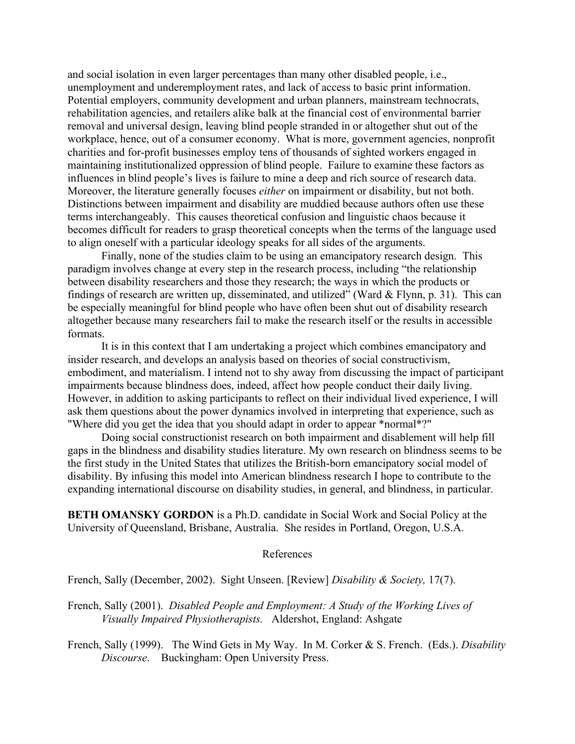and social isolation in even larger percentages than many other disabled people, i.e., unemployment and underemployment rates, and lack of access to basic print information. Potential employers, community development and urban planners, mainstream technocrats, rehabilitation agencies, and retailers alike balk at the financial cost of environmental barrier removal and universal design, leaving blind people stranded in or altogether shut out of the workplace, hence, out of a consumer economy. What is more, government agencies, nonprofit charities and for-profit businesses employ tens of thousands of sighted workers engaged in maintaining institutionalized oppression of blind people. Failure to examine these factors as influences in blind people's lives is failure to mine a deep and rich source of research data. Moreover, the literature generally focuses *either* on impairment or disability, but not both. Distinctions between impairment and disability are muddied because authors often use these terms interchangeably. This causes theoretical confusion and linguistic chaos because it becomes difficult for readers to grasp theoretical concepts when the terms of the language used to align oneself with a particular ideology speaks for all sides of the arguments.

Finally, none of the studies claim to be using an emancipatory research design. This paradigm involves change at every step in the research process, including "the relationship between disability researchers and those they research; the ways in which the products or findings of research are written up, disseminated, and utilized" (Ward & Flynn, p. 31). This can be especially meaningful for blind people who have often been shut out of disability research altogether because many researchers fail to make the research itself or the results in accessible formats.

It is in this context that I am undertaking a project which combines emancipatory and insider research, and develops an analysis based on theories of social constructivism, embodiment, and materialism. I intend not to shy away from discussing the impact of participant impairments because blindness does, indeed, affect how people conduct their daily living. However, in addition to asking participants to reflect on their individual lived experience, I will ask them questions about the power dynamics involved in interpreting that experience, such as "Where did you get the idea that you should adapt in order to appear \*normal\*?"

Doing social constructionist research on both impairment and disablement will help fill gaps in the blindness and disability studies literature. My own research on blindness seems to be the first study in the United States that utilizes the British-born emancipatory social model of disability. By infusing this model into American blindness research I hope to contribute to the expanding international discourse on disability studies, in general, and blindness, in particular.

**BETH OMANSKY GORDON** is a Ph.D. candidate in Social Work and Social Policy at the University of Queensland, Brisbane, Australia. She resides in Portland, Oregon, U.S.A.

## References

French, Sally (December, 2002). Sight Unseen. [Review] *Disability & Society,* 17(7).

French, Sally (2001). *Disabled People and Employment: A Study of the Working Lives of Visually Impaired Physiotherapists.* Aldershot, England: Ashgate

French, Sally (1999). The Wind Gets in My Way. In M. Corker & S. French. (Eds.). *Disability Discourse*. Buckingham: Open University Press.